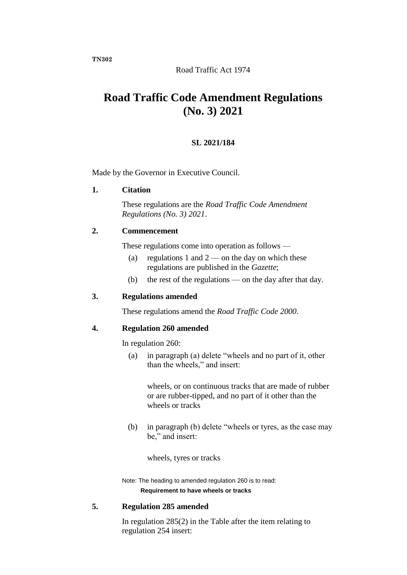# **Road Traffic Code Amendment Regulations (No. 3) 2021**

## **SL 2021/184**

Made by the Governor in Executive Council.

### **1. Citation**

These regulations are the *Road Traffic Code Amendment Regulations (No. 3) 2021*.

### **2. Commencement**

These regulations come into operation as follows —

- (a) regulations 1 and  $2$  on the day on which these regulations are published in the *Gazette*;
- (b) the rest of the regulations on the day after that day.

### **3. Regulations amended**

These regulations amend the *Road Traffic Code 2000*.

### **4. Regulation 260 amended**

In regulation 260:

(a) in paragraph (a) delete "wheels and no part of it, other than the wheels," and insert:

wheels, or on continuous tracks that are made of rubber or are rubber-tipped, and no part of it other than the wheels or tracks

(b) in paragraph (b) delete "wheels or tyres, as the case may be," and insert:

wheels, tyres or tracks

Note: The heading to amended regulation 260 is to read: **Requirement to have wheels or tracks**

### **5. Regulation 285 amended**

In regulation 285(2) in the Table after the item relating to regulation 254 insert:

**TN302**